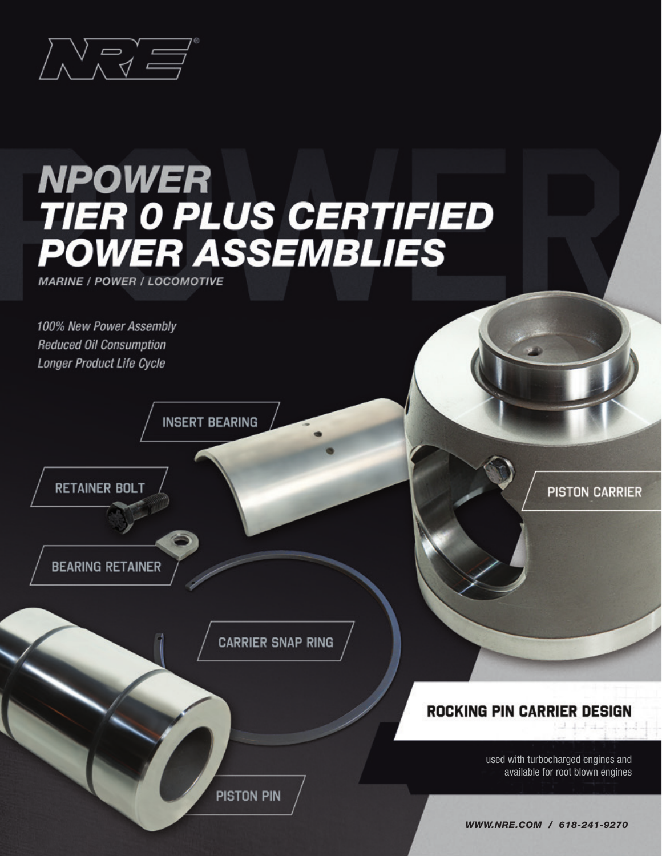

# **NPOWER TIER OPLUS CERTIFIED<br>POWER ASSEMBLIES**

**MARINE / POWER / LOCOMOTIVE** 

100% New Power Assembly **Reduced Oil Consumption Longer Product Life Cycle** 

**INSERT BEARING** 



**BEARING RETAINER** 

**CARRIER SNAP RING** 

**PISTON PIN** 

**PISTON CARRIER** 

#### **ROCKING PIN CARRIER DESIGN**

used with turbocharged engines and available for root blown engines

WWW.NRE.COM / 618-241-9270